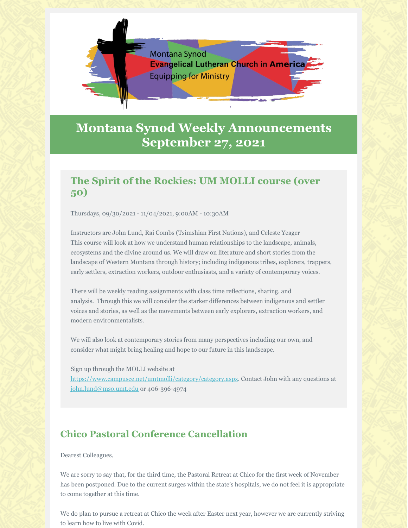

# **Montana Synod Weekly Announcements September 27, 2021**

# **The Spirit of the Rockies: UM MOLLI course (over 50)**

Thursdays, 09/30/2021 - 11/04/2021, 9:00AM - 10:30AM

Instructors are John Lund, Rai Combs (Tsimshian First Nations), and Celeste Yeager This course will look at how we understand human relationships to the landscape, animals, ecosystems and the divine around us. We will draw on literature and short stories from the landscape of Western Montana through history; including indigenous tribes, explorers, trappers, early settlers, extraction workers, outdoor enthusiasts, and a variety of contemporary voices.

There will be weekly reading assignments with class time reflections, sharing, and analysis. Through this we will consider the starker differences between indigenous and settler voices and stories, as well as the movements between early explorers, extraction workers, and modern environmentalists.

We will also look at contemporary stories from many perspectives including our own, and consider what might bring healing and hope to our future in this landscape.

Sign up through the MOLLI website at https://www.campusce.net/umtmolli/category/category.aspx. Contact John with any questions at john.lund@mso.umt.edu or 406-396-4974

# **Chico Pastoral Conference Cancellation**

Dearest Colleagues,

We are sorry to say that, for the third time, the Pastoral Retreat at Chico for the first week of November has been postponed. Due to the current surges within the state's hospitals, we do not feel it is appropriate to come together at this time.

We do plan to pursue a retreat at Chico the week after Easter next year, however we are currently striving to learn how to live with Covid.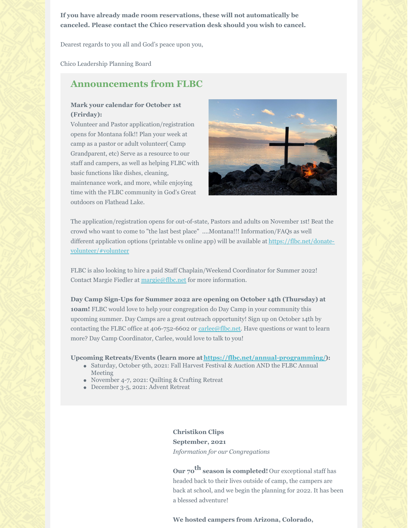**If you have already made room reservations, these will not automatically be canceled. Please contact the Chico reservation desk should you wish to cancel.**

Dearest regards to you all and God's peace upon you,

Chico Leadership Planning Board

## **Announcements from FLBC**

#### **Mark your calendar for October 1st (Frirday):**

Volunteer and Pastor application/registration opens for Montana folk!! Plan your week at camp as a pastor or adult volunteer( Camp Grandparent, etc) Serve as a resource to our staff and campers, as well as helping FLBC with basic functions like dishes, cleaning, maintenance work, and more, while enjoying time with the FLBC community in God's Great outdoors on Flathead Lake.



The application/registration opens for out-of-state, Pastors and adults on November 1st! Beat the crowd who want to come to "the last best place" ....Montana!!! Information/FAQs as well different application options (printable vs online app) will be available at https://flbc.net/donatevolunteer/#volunteer

FLBC is also looking to hire a paid Staff Chaplain/Weekend Coordinator for Summer 2022! Contact Margie Fiedler at margie@flbc.net for more information.

## **Day Camp Sign-Ups for Summer 2022 are opening on October 14th (Thursday) at 10am!** FLBC would love to help your congregation do Day Camp in your community this upcoming summer. Day Camps are a great outreach opportunity! Sign up on October 14th by contacting the FLBC office at 406-752-6602 or carlee@flbc.net. Have questions or want to learn more? Day Camp Coordinator, Carlee, would love to talk to you!

#### **Upcoming Retreats/Events (learn more at https://flbc.net/annual-programming/):**

- Saturday, October 9th, 2021: Fall Harvest Festival & Auction AND the FLBC Annual Meeting
- November 4-7, 2021: Quilting & Crafting Retreat
- December 3-5, 2021: Advent Retreat

### **Christikon Clips September, 2021** *Information for our Congregations*

**Our 70 th season is completed!** Our exceptional staff has headed back to their lives outside of camp, the campers are back at school, and we begin the planning for 2022. It has been a blessed adventure!

**We hosted campers from Arizona, Colorado,**